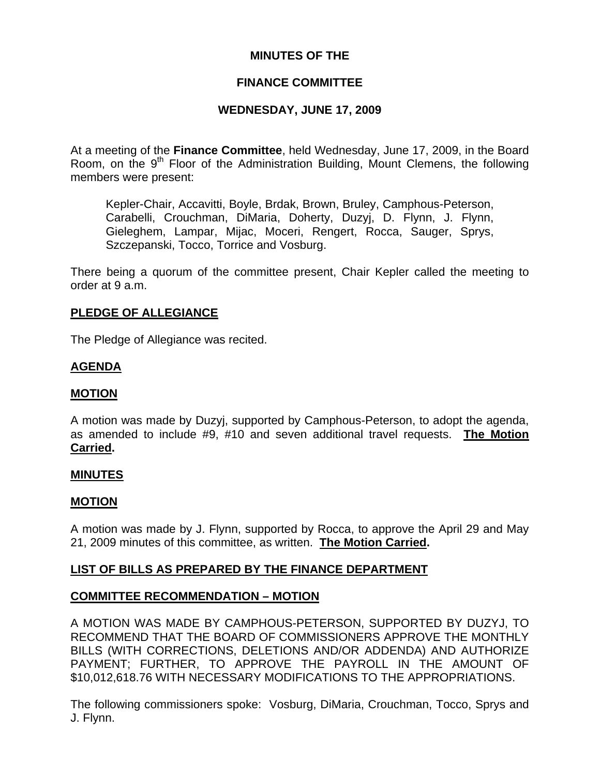## **MINUTES OF THE**

## **FINANCE COMMITTEE**

## **WEDNESDAY, JUNE 17, 2009**

At a meeting of the **Finance Committee**, held Wednesday, June 17, 2009, in the Board Room, on the  $9<sup>th</sup>$  Floor of the Administration Building, Mount Clemens, the following members were present:

Kepler-Chair, Accavitti, Boyle, Brdak, Brown, Bruley, Camphous-Peterson, Carabelli, Crouchman, DiMaria, Doherty, Duzyj, D. Flynn, J. Flynn, Gieleghem, Lampar, Mijac, Moceri, Rengert, Rocca, Sauger, Sprys, Szczepanski, Tocco, Torrice and Vosburg.

There being a quorum of the committee present, Chair Kepler called the meeting to order at 9 a.m.

## **PLEDGE OF ALLEGIANCE**

The Pledge of Allegiance was recited.

## **AGENDA**

## **MOTION**

A motion was made by Duzyj, supported by Camphous-Peterson, to adopt the agenda, as amended to include #9, #10 and seven additional travel requests. **The Motion Carried.** 

## **MINUTES**

#### **MOTION**

A motion was made by J. Flynn, supported by Rocca, to approve the April 29 and May 21, 2009 minutes of this committee, as written. **The Motion Carried.** 

## **LIST OF BILLS AS PREPARED BY THE FINANCE DEPARTMENT**

## **COMMITTEE RECOMMENDATION – MOTION**

A MOTION WAS MADE BY CAMPHOUS-PETERSON, SUPPORTED BY DUZYJ, TO RECOMMEND THAT THE BOARD OF COMMISSIONERS APPROVE THE MONTHLY BILLS (WITH CORRECTIONS, DELETIONS AND/OR ADDENDA) AND AUTHORIZE PAYMENT; FURTHER, TO APPROVE THE PAYROLL IN THE AMOUNT OF \$10,012,618.76 WITH NECESSARY MODIFICATIONS TO THE APPROPRIATIONS.

The following commissioners spoke: Vosburg, DiMaria, Crouchman, Tocco, Sprys and J. Flynn.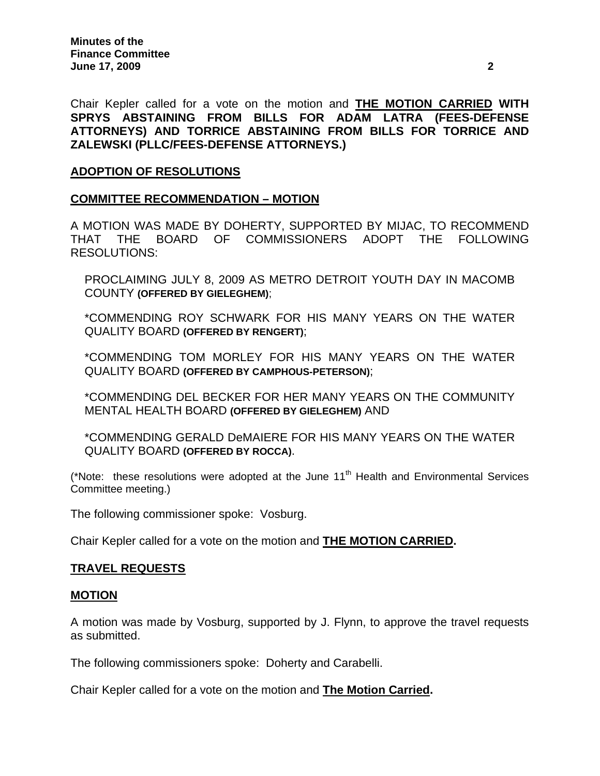Chair Kepler called for a vote on the motion and **THE MOTION CARRIED WITH SPRYS ABSTAINING FROM BILLS FOR ADAM LATRA (FEES-DEFENSE ATTORNEYS) AND TORRICE ABSTAINING FROM BILLS FOR TORRICE AND ZALEWSKI (PLLC/FEES-DEFENSE ATTORNEYS.)** 

## **ADOPTION OF RESOLUTIONS**

### **COMMITTEE RECOMMENDATION – MOTION**

A MOTION WAS MADE BY DOHERTY, SUPPORTED BY MIJAC, TO RECOMMEND THAT THE BOARD OF COMMISSIONERS ADOPT THE FOLLOWING RESOLUTIONS:

PROCLAIMING JULY 8, 2009 AS METRO DETROIT YOUTH DAY IN MACOMB COUNTY **(OFFERED BY GIELEGHEM)**;

\*COMMENDING ROY SCHWARK FOR HIS MANY YEARS ON THE WATER QUALITY BOARD **(OFFERED BY RENGERT)**;

\*COMMENDING TOM MORLEY FOR HIS MANY YEARS ON THE WATER QUALITY BOARD **(OFFERED BY CAMPHOUS-PETERSON)**;

\*COMMENDING DEL BECKER FOR HER MANY YEARS ON THE COMMUNITY MENTAL HEALTH BOARD **(OFFERED BY GIELEGHEM)** AND

\*COMMENDING GERALD DeMAIERE FOR HIS MANY YEARS ON THE WATER QUALITY BOARD **(OFFERED BY ROCCA)**.

(\*Note: these resolutions were adopted at the June  $11<sup>th</sup>$  Health and Environmental Services Committee meeting.)

The following commissioner spoke: Vosburg.

Chair Kepler called for a vote on the motion and **THE MOTION CARRIED.**

## **TRAVEL REQUESTS**

#### **MOTION**

A motion was made by Vosburg, supported by J. Flynn, to approve the travel requests as submitted.

The following commissioners spoke: Doherty and Carabelli.

Chair Kepler called for a vote on the motion and **The Motion Carried.**